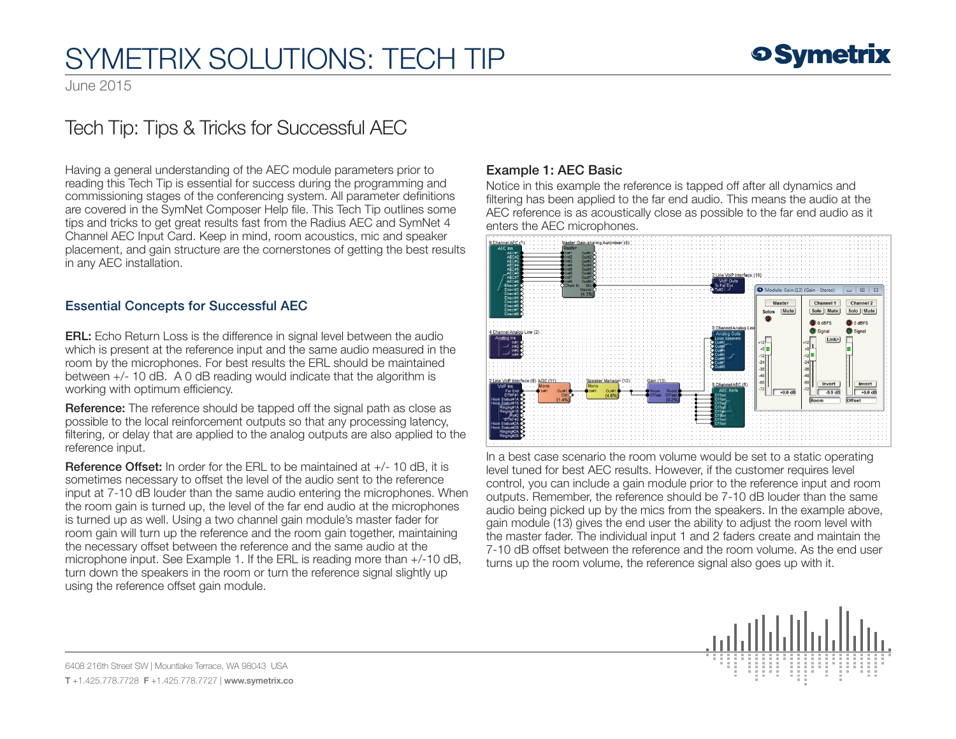## SYMETRIX SOLUTIONS: TECH TIP

June 2015

### Tech Tip: Tips & Tricks for Successful AEC

Having a general understanding of the AEC module parameters prior to reading this Tech Tip is essential for success during the programming and commissioning stages of the conferencing system. All parameter definitions are covered in the SymNet Composer Help file. This Tech Tip outlines some tips and tricks to get great results fast from the Radius AEC and SymNet 4 Channel AEC Input Card. Keep in mind, room acoustics, mic and speaker placement, and gain structure are the cornerstones of getting the best results in any AEC installation.

#### Essential Concepts for Successful AEC

ERL: Echo Return Loss is the difference in signal level between the audio which is present at the reference input and the same audio measured in the room by the microphones. For best results the ERL should be maintained between +/- 10 dB. A 0 dB reading would indicate that the algorithm is working with optimum efficiency.

Reference: The reference should be tapped off the signal path as close as possible to the local reinforcement outputs so that any processing latency, filtering, or delay that are applied to the analog outputs are also applied to the reference input.

Reference Offset: In order for the ERL to be maintained at +/- 10 dB, it is sometimes necessary to offset the level of the audio sent to the reference input at 7-10 dB louder than the same audio entering the microphones. When the room gain is turned up, the level of the far end audio at the microphones is turned up as well. Using a two channel gain module's master fader for room gain will turn up the reference and the room gain together, maintaining the necessary offset between the reference and the same audio at the microphone input. See Example 1. If the ERL is reading more than +/-10 dB, turn down the speakers in the room or turn the reference signal slightly up using the reference offset gain module.

#### Example 1: AEC Basic

Notice in this example the reference is tapped off after all dynamics and filtering has been applied to the far end audio. This means the audio at the AEC reference is as acoustically close as possible to the far end audio as it enters the AEC microphones.



In a best case scenario the room volume would be set to a static operating level tuned for best AEC results. However, if the customer requires level control, you can include a gain module prior to the reference input and room outputs. Remember, the reference should be 7-10 dB louder than the same audio being picked up by the mics from the speakers. In the example above, gain module (13) gives the end user the ability to adjust the room level with the master fader. The individual input 1 and 2 faders create and maintain the 7-10 dB offset between the reference and the room volume. As the end user turns up the room volume, the reference signal also goes up with it.



6408 216th Street SW | Mountlake Terrace, WA 98043 USA T +1.425.778.7728 F +1.425.778.7727 | www.symetrix.co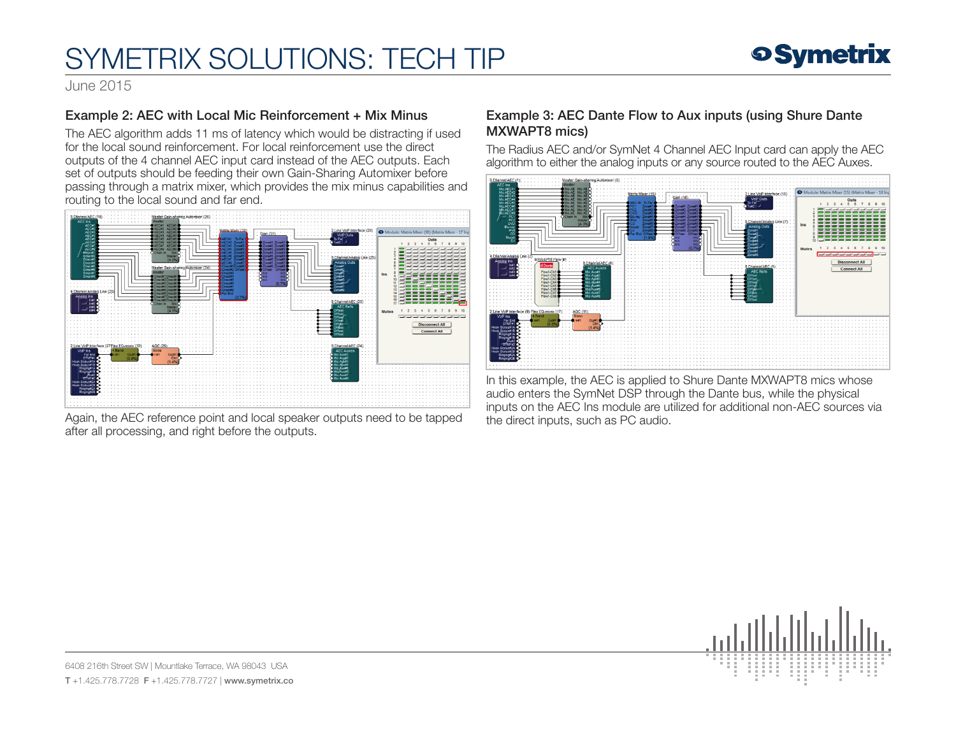## SYMETRIX SOLUTIONS: TECH TIP



June 2015

#### Example 2: AEC with Local Mic Reinforcement + Mix Minus

The AEC algorithm adds 11 ms of latency which would be distracting if used for the local sound reinforcement. For local reinforcement use the direct outputs of the 4 channel AEC input card instead of the AEC outputs. Each set of outputs should be feeding their own Gain-Sharing Automixer before passing through a matrix mixer, which provides the mix minus capabilities and routing to the local sound and far end.



Again, the AEC reference point and local speaker outputs need to be tapped after all processing, and right before the outputs.

#### Example 3: AEC Dante Flow to Aux inputs (using Shure Dante MXWAPT8 mics)

The Radius AEC and/or SymNet 4 Channel AEC Input card can apply the AEC algorithm to either the analog inputs or any source routed to the AEC Auxes.



In this example, the AEC is applied to Shure Dante MXWAPT8 mics whose audio enters the SymNet DSP through the Dante bus, while the physical inputs on the AEC Ins module are utilized for additional non-AEC sources via the direct inputs, such as PC audio.



6408 216th Street SW | Mountlake Terrace, WA 98043 USA T +1.425.778.7728 F +1.425.778.7727 | www.symetrix.co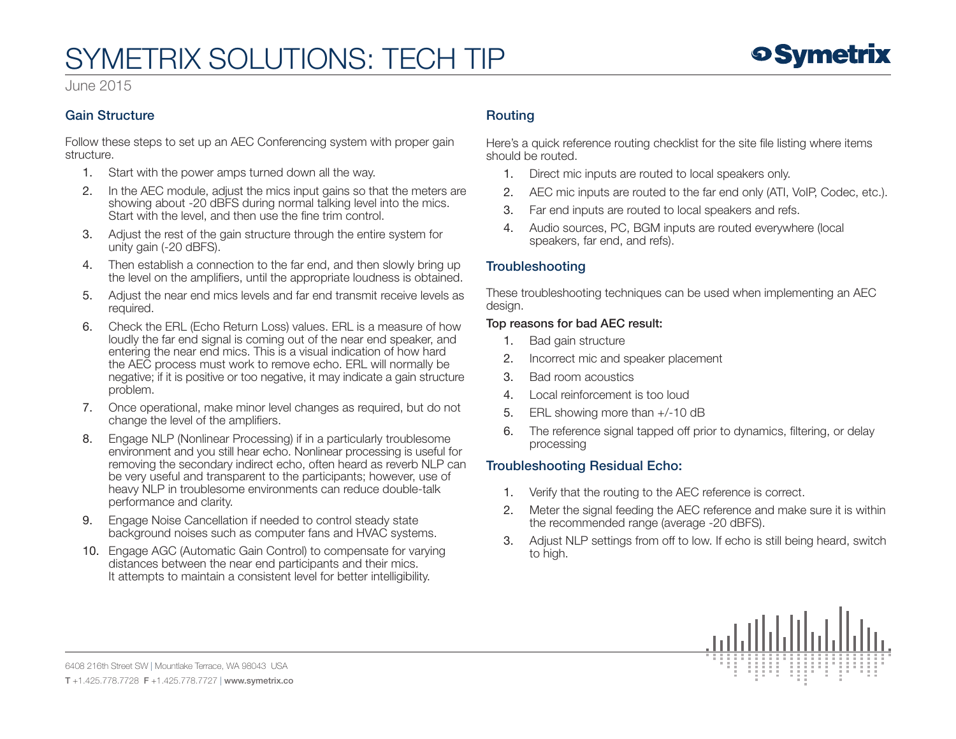### **9 Symetrix**

#### June 2015

#### Gain Structure

Follow these steps to set up an AEC Conferencing system with proper gain structure.

- 1. Start with the power amps turned down all the way.
- 2. In the AEC module, adjust the mics input gains so that the meters are showing about -20 dBFS during normal talking level into the mics. Start with the level, and then use the fine trim control.
- 3. Adjust the rest of the gain structure through the entire system for unity gain (-20 dBFS).
- 4. Then establish a connection to the far end, and then slowly bring up the level on the amplifiers, until the appropriate loudness is obtained.
- 5. Adjust the near end mics levels and far end transmit receive levels as required.
- 6. Check the ERL (Echo Return Loss) values. ERL is a measure of how loudly the far end signal is coming out of the near end speaker, and entering the near end mics. This is a visual indication of how hard the AEC process must work to remove echo. ERL will normally be negative; if it is positive or too negative, it may indicate a gain structure problem.
- 7. Once operational, make minor level changes as required, but do not change the level of the amplifiers.
- 8. Engage NLP (Nonlinear Processing) if in a particularly troublesome environment and you still hear echo. Nonlinear processing is useful for removing the secondary indirect echo, often heard as reverb NLP can be very useful and transparent to the participants; however, use of heavy NLP in troublesome environments can reduce double-talk performance and clarity.
- 9. Engage Noise Cancellation if needed to control steady state background noises such as computer fans and HVAC systems.
- 10. Engage AGC (Automatic Gain Control) to compensate for varying distances between the near end participants and their mics. It attempts to maintain a consistent level for better intelligibility.

#### Routing

Here's a quick reference routing checklist for the site file listing where items should be routed.

- 1. Direct mic inputs are routed to local speakers only.
- 2. AEC mic inputs are routed to the far end only (ATI, VoIP, Codec, etc.).
- 3. Far end inputs are routed to local speakers and refs.
- 4. Audio sources, PC, BGM inputs are routed everywhere (local speakers, far end, and refs).

#### **Troubleshooting**

These troubleshooting techniques can be used when implementing an AEC design.

#### Top reasons for bad AEC result:

- 1. Bad gain structure
- 2. Incorrect mic and speaker placement
- 3. Bad room acoustics
- 4. Local reinforcement is too loud
- 5. ERL showing more than +/-10 dB
- 6. The reference signal tapped off prior to dynamics, filtering, or delay processing

#### Troubleshooting Residual Echo:

- 1. Verify that the routing to the AEC reference is correct.
- 2. Meter the signal feeding the AEC reference and make sure it is within the recommended range (average -20 dBFS).
- 3. Adjust NLP settings from off to low. If echo is still being heard, switch to high.



6408 216th Street SW | Mountlake Terrace, WA 98043 USA T +1.425.778.7728 F +1.425.778.7727 | www.symetrix.co